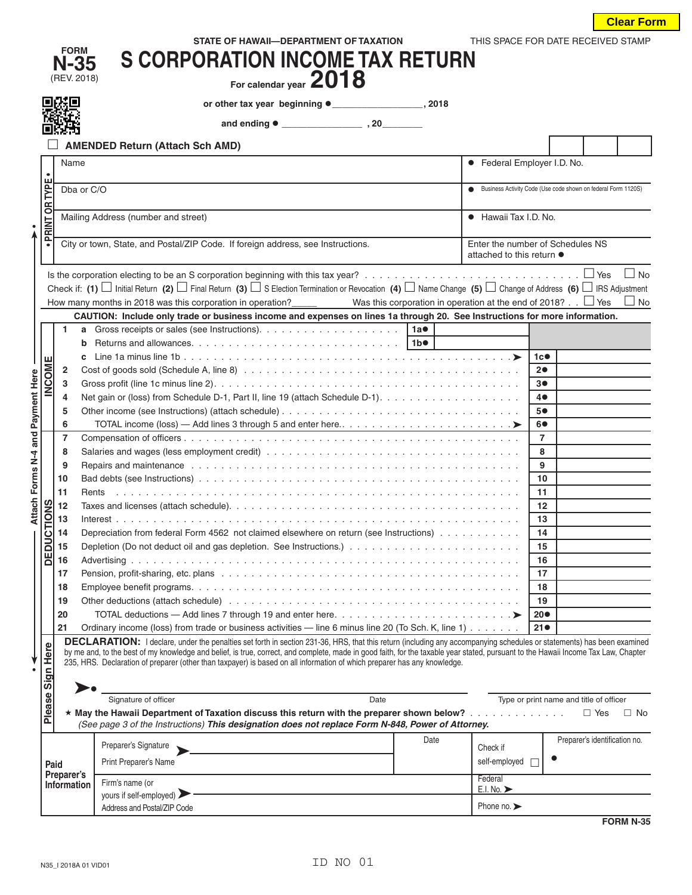| STATE OF HAWAII-DEPARTMENT OF TAXATION | THIS SPACE FOR DATE RECEIVED STAMP |
|----------------------------------------|------------------------------------|
|                                        |                                    |

|                            |                                                                                                                                                                                                                                                                                                                             | <b>FORM</b><br><b>N-35</b><br>(REV. 2018)                                                                                                                                                                                                                                                                                                                                                                                                                                                                                      | <b>S CORPORATION INCOME TAX RETURN</b><br>For calendar year $2018$                                                                                                                                                             |      |                                 |                |                               |                                         |                        |  |  |
|----------------------------|-----------------------------------------------------------------------------------------------------------------------------------------------------------------------------------------------------------------------------------------------------------------------------------------------------------------------------|--------------------------------------------------------------------------------------------------------------------------------------------------------------------------------------------------------------------------------------------------------------------------------------------------------------------------------------------------------------------------------------------------------------------------------------------------------------------------------------------------------------------------------|--------------------------------------------------------------------------------------------------------------------------------------------------------------------------------------------------------------------------------|------|---------------------------------|----------------|-------------------------------|-----------------------------------------|------------------------|--|--|
|                            |                                                                                                                                                                                                                                                                                                                             |                                                                                                                                                                                                                                                                                                                                                                                                                                                                                                                                |                                                                                                                                                                                                                                |      |                                 |                |                               |                                         |                        |  |  |
|                            |                                                                                                                                                                                                                                                                                                                             |                                                                                                                                                                                                                                                                                                                                                                                                                                                                                                                                |                                                                                                                                                                                                                                |      |                                 |                |                               |                                         |                        |  |  |
|                            |                                                                                                                                                                                                                                                                                                                             |                                                                                                                                                                                                                                                                                                                                                                                                                                                                                                                                | <b>AMENDED Return (Attach Sch AMD)</b>                                                                                                                                                                                         |      |                                 |                |                               |                                         |                        |  |  |
|                            |                                                                                                                                                                                                                                                                                                                             | Name                                                                                                                                                                                                                                                                                                                                                                                                                                                                                                                           |                                                                                                                                                                                                                                |      | • Federal Employer I.D. No.     |                |                               |                                         |                        |  |  |
|                            | $\bullet$                                                                                                                                                                                                                                                                                                                   |                                                                                                                                                                                                                                                                                                                                                                                                                                                                                                                                |                                                                                                                                                                                                                                |      |                                 |                |                               |                                         |                        |  |  |
|                            | OR TYPE                                                                                                                                                                                                                                                                                                                     | Business Activity Code (Use code shown on federal Form 1120S)<br>Dba or C/O                                                                                                                                                                                                                                                                                                                                                                                                                                                    |                                                                                                                                                                                                                                |      |                                 |                |                               |                                         |                        |  |  |
|                            |                                                                                                                                                                                                                                                                                                                             |                                                                                                                                                                                                                                                                                                                                                                                                                                                                                                                                |                                                                                                                                                                                                                                |      |                                 |                |                               |                                         |                        |  |  |
|                            | PRINT                                                                                                                                                                                                                                                                                                                       | Mailing Address (number and street)<br>• Hawaii Tax I.D. No.                                                                                                                                                                                                                                                                                                                                                                                                                                                                   |                                                                                                                                                                                                                                |      |                                 |                |                               |                                         |                        |  |  |
|                            |                                                                                                                                                                                                                                                                                                                             | City or town, State, and Postal/ZIP Code. If foreign address, see Instructions.<br>attached to this return ●                                                                                                                                                                                                                                                                                                                                                                                                                   |                                                                                                                                                                                                                                |      |                                 |                |                               | Enter the number of Schedules NS        |                        |  |  |
|                            | Check if: (1) $\Box$ Initial Return (2) $\Box$ Final Return (3) $\Box$ S Election Termination or Revocation (4) $\Box$ Name Change (5) $\Box$ Change of Address (6) $\Box$ IRS Adjustment<br>How many months in 2018 was this corporation in operation?<br>Was this corporation in operation at the end of 2018? $\Box$ Yes |                                                                                                                                                                                                                                                                                                                                                                                                                                                                                                                                |                                                                                                                                                                                                                                |      |                                 |                |                               |                                         | $\Box$ No<br>$\Box$ No |  |  |
|                            |                                                                                                                                                                                                                                                                                                                             |                                                                                                                                                                                                                                                                                                                                                                                                                                                                                                                                | CAUTION: Include only trade or business income and expenses on lines 1a through 20. See Instructions for more information.                                                                                                     |      |                                 |                |                               |                                         |                        |  |  |
|                            |                                                                                                                                                                                                                                                                                                                             | 1                                                                                                                                                                                                                                                                                                                                                                                                                                                                                                                              |                                                                                                                                                                                                                                |      |                                 |                |                               |                                         |                        |  |  |
|                            |                                                                                                                                                                                                                                                                                                                             | b                                                                                                                                                                                                                                                                                                                                                                                                                                                                                                                              |                                                                                                                                                                                                                                |      |                                 |                |                               |                                         |                        |  |  |
|                            |                                                                                                                                                                                                                                                                                                                             | c.                                                                                                                                                                                                                                                                                                                                                                                                                                                                                                                             |                                                                                                                                                                                                                                |      |                                 | 1c<br>2●       |                               |                                         |                        |  |  |
|                            | <b>INCOME</b>                                                                                                                                                                                                                                                                                                               | 2<br>3                                                                                                                                                                                                                                                                                                                                                                                                                                                                                                                         |                                                                                                                                                                                                                                |      |                                 | 3●             |                               |                                         |                        |  |  |
| Forms N-4 and Payment Here |                                                                                                                                                                                                                                                                                                                             | 4                                                                                                                                                                                                                                                                                                                                                                                                                                                                                                                              | Net gain or (loss) from Schedule D-1, Part II, line 19 (attach Schedule D-1).                                                                                                                                                  |      |                                 | 4●             |                               |                                         |                        |  |  |
|                            |                                                                                                                                                                                                                                                                                                                             | 5                                                                                                                                                                                                                                                                                                                                                                                                                                                                                                                              |                                                                                                                                                                                                                                |      |                                 | 5●             |                               |                                         |                        |  |  |
|                            |                                                                                                                                                                                                                                                                                                                             | 6                                                                                                                                                                                                                                                                                                                                                                                                                                                                                                                              |                                                                                                                                                                                                                                |      |                                 | 6●             |                               |                                         |                        |  |  |
|                            |                                                                                                                                                                                                                                                                                                                             | 7                                                                                                                                                                                                                                                                                                                                                                                                                                                                                                                              |                                                                                                                                                                                                                                |      |                                 | $\overline{7}$ |                               |                                         |                        |  |  |
|                            |                                                                                                                                                                                                                                                                                                                             | 8                                                                                                                                                                                                                                                                                                                                                                                                                                                                                                                              |                                                                                                                                                                                                                                |      |                                 | 8              |                               |                                         |                        |  |  |
|                            |                                                                                                                                                                                                                                                                                                                             | 9                                                                                                                                                                                                                                                                                                                                                                                                                                                                                                                              | Repairs and maintenance enterpreteration of the contract of the contract of the contract of the contract of the contract of the contract of the contract of the contract of the contract of the contract of the contract of th |      |                                 | 9              |                               |                                         |                        |  |  |
|                            |                                                                                                                                                                                                                                                                                                                             | 10                                                                                                                                                                                                                                                                                                                                                                                                                                                                                                                             |                                                                                                                                                                                                                                |      |                                 | 10             |                               |                                         |                        |  |  |
|                            |                                                                                                                                                                                                                                                                                                                             | 11                                                                                                                                                                                                                                                                                                                                                                                                                                                                                                                             |                                                                                                                                                                                                                                |      |                                 | 11             |                               |                                         |                        |  |  |
| <b>Attach</b>              | <b>DEDUCTIONS</b>                                                                                                                                                                                                                                                                                                           | 12                                                                                                                                                                                                                                                                                                                                                                                                                                                                                                                             |                                                                                                                                                                                                                                |      |                                 | 12             |                               |                                         |                        |  |  |
|                            |                                                                                                                                                                                                                                                                                                                             | 13                                                                                                                                                                                                                                                                                                                                                                                                                                                                                                                             |                                                                                                                                                                                                                                |      |                                 | 13             |                               |                                         |                        |  |  |
|                            |                                                                                                                                                                                                                                                                                                                             | 14                                                                                                                                                                                                                                                                                                                                                                                                                                                                                                                             | Depreciation from federal Form 4562 not claimed elsewhere on return (see Instructions)                                                                                                                                         |      |                                 | 14             |                               |                                         |                        |  |  |
|                            |                                                                                                                                                                                                                                                                                                                             | 15                                                                                                                                                                                                                                                                                                                                                                                                                                                                                                                             |                                                                                                                                                                                                                                |      |                                 | 15             |                               |                                         |                        |  |  |
|                            |                                                                                                                                                                                                                                                                                                                             | 16                                                                                                                                                                                                                                                                                                                                                                                                                                                                                                                             |                                                                                                                                                                                                                                |      |                                 | 16             |                               |                                         |                        |  |  |
|                            |                                                                                                                                                                                                                                                                                                                             | 17                                                                                                                                                                                                                                                                                                                                                                                                                                                                                                                             |                                                                                                                                                                                                                                |      |                                 | 17             |                               |                                         |                        |  |  |
|                            |                                                                                                                                                                                                                                                                                                                             | 18                                                                                                                                                                                                                                                                                                                                                                                                                                                                                                                             |                                                                                                                                                                                                                                |      |                                 | 18             |                               |                                         |                        |  |  |
|                            |                                                                                                                                                                                                                                                                                                                             | 19                                                                                                                                                                                                                                                                                                                                                                                                                                                                                                                             | Other deductions (attach schedule) (and account of the contract of the contract of the contract of the contract of the contract of the contract of the contract of the contract of the contract of the contract of the contrac |      |                                 | 19             |                               |                                         |                        |  |  |
|                            |                                                                                                                                                                                                                                                                                                                             | 20                                                                                                                                                                                                                                                                                                                                                                                                                                                                                                                             |                                                                                                                                                                                                                                |      |                                 | 20●            |                               |                                         |                        |  |  |
|                            |                                                                                                                                                                                                                                                                                                                             | 21                                                                                                                                                                                                                                                                                                                                                                                                                                                                                                                             | Ordinary income (loss) from trade or business activities — line 6 minus line 20 (To Sch. K, line 1)                                                                                                                            |      |                                 | $21 \bullet$   |                               |                                         |                        |  |  |
|                            | Please Sign Here                                                                                                                                                                                                                                                                                                            | <b>DECLARATION:</b> I declare, under the penalties set forth in section 231-36, HRS, that this return (including any accompanying schedules or statements) has been examined<br>by me and, to the best of my knowledge and belief, is true, correct, and complete, made in good faith, for the taxable year stated, pursuant to the Hawaii Income Tax Law, Chapter<br>235, HRS. Declaration of preparer (other than taxpayer) is based on all information of which preparer has any knowledge.<br>Signature of officer<br>Date |                                                                                                                                                                                                                                |      |                                 |                |                               | Type or print name and title of officer |                        |  |  |
|                            |                                                                                                                                                                                                                                                                                                                             |                                                                                                                                                                                                                                                                                                                                                                                                                                                                                                                                | $\star$ May the Hawaii Department of Taxation discuss this return with the preparer shown below?<br>(See page 3 of the Instructions) This designation does not replace Form N-848, Power of Attorney.                          |      |                                 |                |                               | $\Box$ Yes                              | $\Box$ No              |  |  |
|                            |                                                                                                                                                                                                                                                                                                                             |                                                                                                                                                                                                                                                                                                                                                                                                                                                                                                                                | Preparer's Signature                                                                                                                                                                                                           | Date | Check if                        |                | Preparer's identification no. |                                         |                        |  |  |
|                            | Paid                                                                                                                                                                                                                                                                                                                        |                                                                                                                                                                                                                                                                                                                                                                                                                                                                                                                                | Print Preparer's Name                                                                                                                                                                                                          |      | self-employed                   | П              |                               |                                         |                        |  |  |
|                            |                                                                                                                                                                                                                                                                                                                             | Preparer's                                                                                                                                                                                                                                                                                                                                                                                                                                                                                                                     | Firm's name (or                                                                                                                                                                                                                |      | Federal                         |                |                               |                                         |                        |  |  |
|                            |                                                                                                                                                                                                                                                                                                                             | Information                                                                                                                                                                                                                                                                                                                                                                                                                                                                                                                    | yours if self-employed)                                                                                                                                                                                                        |      | E.I. No.                        |                |                               |                                         |                        |  |  |
|                            |                                                                                                                                                                                                                                                                                                                             |                                                                                                                                                                                                                                                                                                                                                                                                                                                                                                                                | Address and Postal/ZIP Code                                                                                                                                                                                                    |      | Phone no. $\blacktriangleright$ |                |                               |                                         |                        |  |  |
|                            |                                                                                                                                                                                                                                                                                                                             |                                                                                                                                                                                                                                                                                                                                                                                                                                                                                                                                |                                                                                                                                                                                                                                |      |                                 |                |                               |                                         |                        |  |  |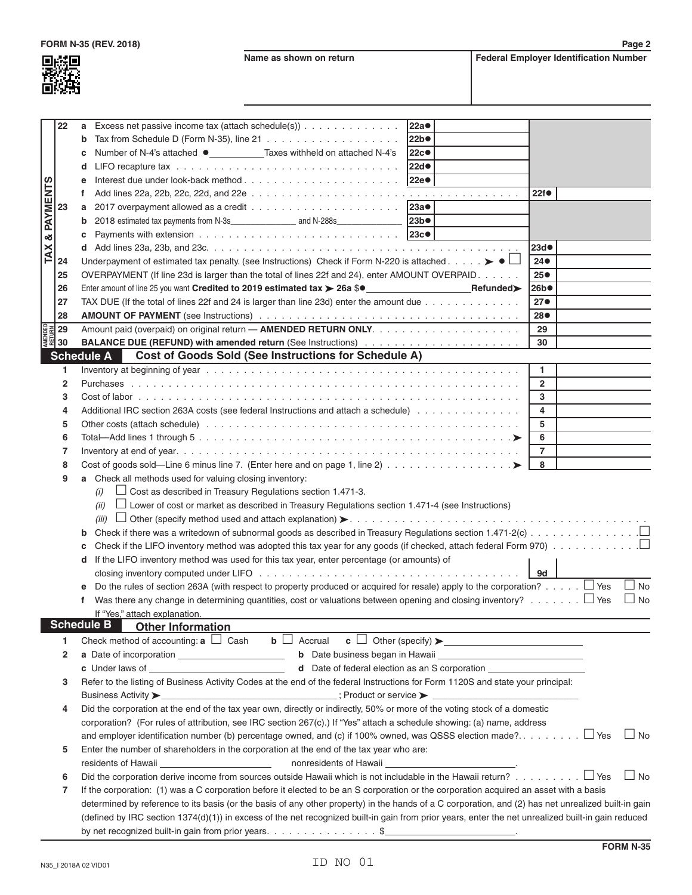**AMENDED**

**Name as shown on return Federal Employer Identification Number**

**22 a** Excess net passive income tax (attach schedule(s)) **22a b** Tax from Schedule D (Form N-35), line 21 **221 221 221 22b c** Number of N-4's attached  $\bullet$  Taxes withheld on attached N-4's 22c **d** LIFO recapture tax . . . . . . . . . . . . . . . . . . . . . . . . . . . . . .**22d** e Interest due under look-back method **22**e **i**<br> **e** Interest due under look-back method **22e**<br> **e** 2017 overpayment allowed as a credit<br> **Example 1298**<br> **EXAMPLE 2018** estimated tax payments from N-3s<br> **EXAMPLE 2018**<br> **EX f** Add lines 22a, 22b, 22c, 22d, and 22e . . . . . . . . . . . . . . . . . . . . . . . . . . . . . . . . . . . .**22f 23 a** 2017 overpayment allowed as a credit . . . . . . . . . . . . . . . . . . . .**23a b** 2018 estimated tax payments from N-3s and N-288s **23b c** Payments with extension . . . . . . . . . . . . . . . . . . . . . . . . . . .**23c d** Add lines 23a, 23b, and 23c. . . . . . . . . . . . . . . . . . . . . . . . . . . . . . . . . . . . . . . . . .**23d 24** Underpayment of estimated tax penalty. (see Instructions) Check if Form N-220 is attached  $\ldots \rightarrow \bullet \Box$  24 $\bullet$ **25** OVERPAYMENT (If line 23d is larger than the total of lines 22f and 24), enter AMOUNT OVERPAID **25 26** Enter amount of line 25 you want **Credited to 2019 estimated tax > 26a** \$ **27** TAX DUE (If the total of lines 22f and 24 is larger than line 23d) enter the amount due **27 28 AMOUNT OF PAYMENT** (see Instructions) . . . . . . . . . . . . . . . . . . . . . . . . . . . . . . . . . . .**28 29** Amount paid (overpaid) on original return — **AMENDED RETURN ONLY 29 30 BALANCE DUE (REFUND) with amended return** (See Instructions) . . . . . . . . . . . . . . . . . . . . .**30 Cost of Goods Sold (See Instructions for Schedule A) 1** Inventory at beginning of year . . . . . . . . . . . . . . . . . . . . . . . . . . . . . . . . . . . . . . . . . .**1 2** Purchases . . . . . . . . . . . . . . . . . . . . . . . . . . . . . . . . . . . . . . . . . . . . . . . . . . . .**2 3** Cost of labor . . . . . . . . . . . . . . . . . . . . . . . . . . . . . . . . . . . . . . . . . . . . . . . . . . .**3 4** Additional IRC section 263A costs (see federal Instructions and attach a schedule) . . . . . . . . . . . . . .**4 5** Other costs (attach schedule) . . . . . . . . . . . . . . . . . . . . . . . . . . . . . . . . . . . . . . . . . .**5 6** Total—Add lines 1 through 5 **6 7** Inventory at end of year **7 8** Cost of goods sold—Line 6 minus line 7. (Enter here and on page 1, line 2)  $\ldots$   $\ldots$   $\ldots$   $\ldots$   $\ldots$   $\blacktriangleright$  8 **9 a** Check all methods used for valuing closing inventory:  $(i)$   $\Box$  Cost as described in Treasury Regulations section 1.471-3. *(ii)*  $\Box$  Lower of cost or market as described in Treasury Regulations section 1.471-4 (see Instructions) *(iii)* Other (specify method used and attach explanation) .. . . . . . . **<sup>b</sup>** Check if there was a writedown of subnormal goods as described in Treasury Regulations section 1.471-2(c) .. . . . . . **<sup>c</sup>** Check if the LIFO inventory method was adopted this tax year for any goods (if checked, attach federal Form 970) . . . . . .. . . . . . **d** If the LIFO inventory method was used for this tax year, enter percentage (or amounts) of closing inventory computed under LIFO **9. 19. 19. 19. 19. 19. 19. 19. 19. 19. 19. 19. 19. 19. 19. 19. 19. 19. 19. 19. 19. 19. 19. 19. 19. 19. 19. 19. 19. 19. 1 e** Do the rules of section 263A (with respect to property produced or acquired for resale) apply to the corporation? . . . . .  $\Box$  Yes  $\Box$  No **f** Was there any change in determining quantities, cost or valuations between opening and closing inventory? . . . . . . . .  $\Box$  Yes  $\Box$  No If "Yes," attach explanation. **Other Information 1** Check method of accounting:  $\mathbf{a} \square$  Cash  $\mathbf{b} \square$  Accrual  $\mathbf{c} \square$  Other (specify)  $\blacktriangleright$ **2 a** Date of incorporation **b** Date business began in Hawaii **c** Under laws of **d** Date of federal election as an S corporation **3** Refer to the listing of Business Activity Codes at the end of the federal Instructions for Form 1120S and state your principal: Business Activity  $\blacktriangleright$ **4** Did the corporation at the end of the tax year own, directly or indirectly, 50% or more of the voting stock of a domestic corporation? (For rules of attribution, see IRC section 267(c).) If "Yes" attach a schedule showing: (a) name, address and employer identification number (b) percentage owned, and (c) if 100% owned, was QSSS election made?........ $\Box$  Yes  $\Box$  No **5** Enter the number of shareholders in the corporation at the end of the tax year who are: residents of Hawaii **nonresidents** of Hawaii ... **<sup>6</sup>** Did the corporation derive income from sources outside Hawaii which is not includable in the Hawaii return? . . . . . .. . . Yes No **7** If the corporation: (1) was a C corporation before it elected to be an S corporation or the corporation acquired an asset with a basis determined by reference to its basis (or the basis of any other property) in the hands of a C corporation, and (2) has net unrealized built-in gain (defined by IRC section 1374(d)(1)) in excess of the net recognized built-in gain from prior years, enter the net unrealized built-in gain reduced by net recognized built-in gain from prior years. . . . . . . . . . . . . . . \$ **TAX & PAYMENTS Schedule A Schedule B RETURN**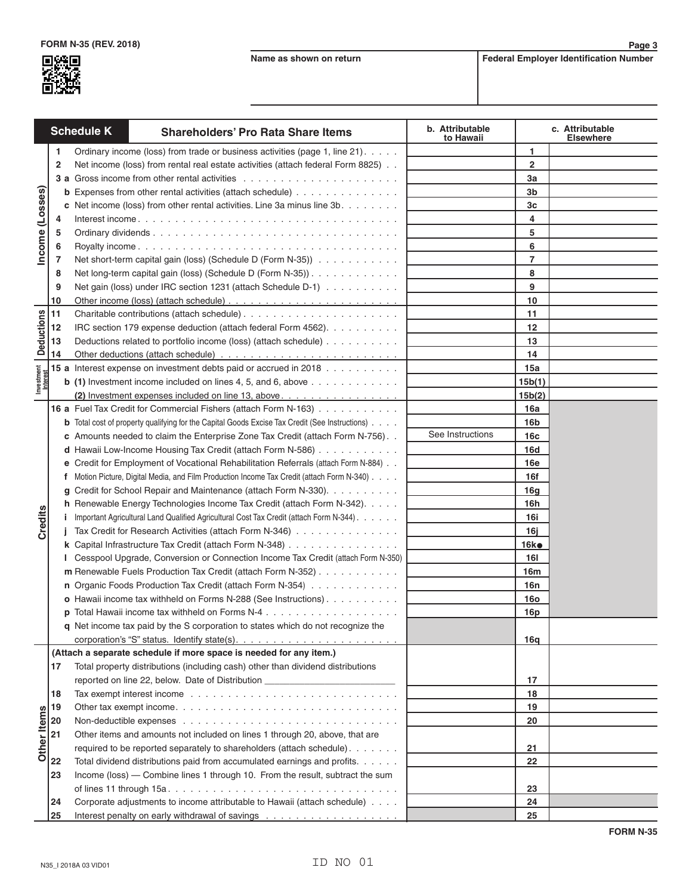

|                    |              | <b>Schedule K</b> | <b>Shareholders' Pro Rata Share Items</b>                                                                                                         | b. Attributable<br>to Hawaii |                   | c. Attributable<br><b>Elsewhere</b> |
|--------------------|--------------|-------------------|---------------------------------------------------------------------------------------------------------------------------------------------------|------------------------------|-------------------|-------------------------------------|
|                    | 1            |                   | Ordinary income (loss) from trade or business activities (page 1, line 21).                                                                       |                              | 1                 |                                     |
|                    | $\mathbf{2}$ |                   | Net income (loss) from rental real estate activities (attach federal Form 8825)                                                                   |                              | $\overline{2}$    |                                     |
|                    |              |                   |                                                                                                                                                   |                              | 3a                |                                     |
|                    |              |                   |                                                                                                                                                   |                              | 3b                |                                     |
|                    |              |                   | c Net income (loss) from other rental activities. Line 3a minus line $3b$                                                                         |                              | 3 <sub>c</sub>    |                                     |
| Income (Losses)    | 4            |                   |                                                                                                                                                   |                              | 4                 |                                     |
|                    | 5            |                   |                                                                                                                                                   |                              | 5                 |                                     |
|                    | 6            |                   |                                                                                                                                                   |                              | 6                 |                                     |
|                    | 7            |                   | Net short-term capital gain (loss) (Schedule D (Form N-35))                                                                                       |                              | $\overline{7}$    |                                     |
|                    | 8            |                   | Net long-term capital gain (loss) (Schedule D (Form N-35))                                                                                        |                              | 8                 |                                     |
|                    | 9            |                   | Net gain (loss) under IRC section 1231 (attach Schedule D-1)                                                                                      |                              | 9                 |                                     |
|                    | 10           |                   |                                                                                                                                                   |                              | 10                |                                     |
| <b>Deductions</b>  | 11           |                   |                                                                                                                                                   |                              | 11                |                                     |
|                    | 12           |                   | IRC section 179 expense deduction (attach federal Form 4562).                                                                                     |                              | 12                |                                     |
|                    | 13           |                   | Deductions related to portfolio income (loss) (attach schedule)                                                                                   |                              | 13                |                                     |
|                    | 14           |                   |                                                                                                                                                   |                              | 14                |                                     |
| Investm<br>Intere: |              |                   | 15 a Interest expense on investment debts paid or accrued in 2018                                                                                 |                              | 15a               |                                     |
|                    |              |                   | <b>b</b> (1) Investment income included on lines 4, 5, and 6, above $\dots \dots \dots \dots$                                                     |                              | 15b(1)            |                                     |
|                    |              |                   | (2) Investment expenses included on line 13, above.                                                                                               |                              | 15b(2)            |                                     |
|                    |              |                   | 16 a Fuel Tax Credit for Commercial Fishers (attach Form N-163)                                                                                   |                              | 16a               |                                     |
|                    |              |                   | <b>b</b> Total cost of property qualifying for the Capital Goods Excise Tax Credit (See Instructions)                                             | See Instructions             | 16 <sub>b</sub>   |                                     |
|                    |              |                   | c Amounts needed to claim the Enterprise Zone Tax Credit (attach Form N-756)                                                                      |                              | 16c               |                                     |
|                    |              |                   | d Hawaii Low-Income Housing Tax Credit (attach Form N-586)                                                                                        |                              | <b>16d</b>        |                                     |
|                    |              |                   | e Credit for Employment of Vocational Rehabilitation Referrals (attach Form N-884)                                                                |                              | <b>16e</b>        |                                     |
|                    |              |                   | f Motion Picture, Digital Media, and Film Production Income Tax Credit (attach Form N-340)                                                        |                              | 16f               |                                     |
|                    |              |                   | g Credit for School Repair and Maintenance (attach Form N-330).                                                                                   |                              | 16 <sub>q</sub>   |                                     |
|                    |              |                   | h Renewable Energy Technologies Income Tax Credit (attach Form N-342).                                                                            |                              | 16h<br><b>16i</b> |                                     |
| Credits            |              |                   | Important Agricultural Land Qualified Agricultural Cost Tax Credit (attach Form N-344).<br>Tax Credit for Research Activities (attach Form N-346) |                              | <b>16i</b>        |                                     |
|                    |              |                   | k Capital Infrastructure Tax Credit (attach Form N-348)                                                                                           |                              | 16k               |                                     |
|                    |              |                   | I Cesspool Upgrade, Conversion or Connection Income Tax Credit (attach Form N-350)                                                                |                              | 161               |                                     |
|                    |              |                   | <b>m</b> Renewable Fuels Production Tax Credit (attach Form N-352)                                                                                |                              | 16m               |                                     |
|                    |              |                   | n Organic Foods Production Tax Credit (attach Form N-354)                                                                                         |                              | 16 <sub>n</sub>   |                                     |
|                    |              |                   | o Hawaii income tax withheld on Forms N-288 (See Instructions).                                                                                   |                              | <b>16o</b>        |                                     |
|                    |              |                   |                                                                                                                                                   |                              | 16p               |                                     |
|                    |              |                   | q Net income tax paid by the S corporation to states which do not recognize the                                                                   |                              |                   |                                     |
|                    |              |                   |                                                                                                                                                   |                              | 16q               |                                     |
|                    |              |                   | (Attach a separate schedule if more space is needed for any item.)                                                                                |                              |                   |                                     |
|                    | 17           |                   | Total property distributions (including cash) other than dividend distributions                                                                   |                              |                   |                                     |
|                    |              |                   | reported on line 22, below. Date of Distribution _______________________________                                                                  |                              | 17                |                                     |
|                    | 18           |                   |                                                                                                                                                   |                              | 18                |                                     |
|                    | 19           |                   | Other tax exempt income. $\ldots$ $\ldots$ $\ldots$ $\ldots$ $\ldots$ $\ldots$ $\ldots$ $\ldots$ $\ldots$ $\ldots$ $\ldots$                       |                              | 19                |                                     |
| Other Items        | 20           |                   |                                                                                                                                                   |                              | 20                |                                     |
|                    | 21           |                   | Other items and amounts not included on lines 1 through 20, above, that are                                                                       |                              |                   |                                     |
|                    |              |                   | required to be reported separately to shareholders (attach schedule).                                                                             |                              | 21                |                                     |
|                    | 22           |                   | Total dividend distributions paid from accumulated earnings and profits.                                                                          |                              | 22                |                                     |
|                    | 23           |                   | Income (loss) — Combine lines 1 through 10. From the result, subtract the sum                                                                     |                              |                   |                                     |
|                    |              |                   |                                                                                                                                                   |                              | 23                |                                     |
|                    | 24           |                   | Corporate adjustments to income attributable to Hawaii (attach schedule)                                                                          |                              | 24                |                                     |
|                    | 25           |                   |                                                                                                                                                   |                              | 25                |                                     |